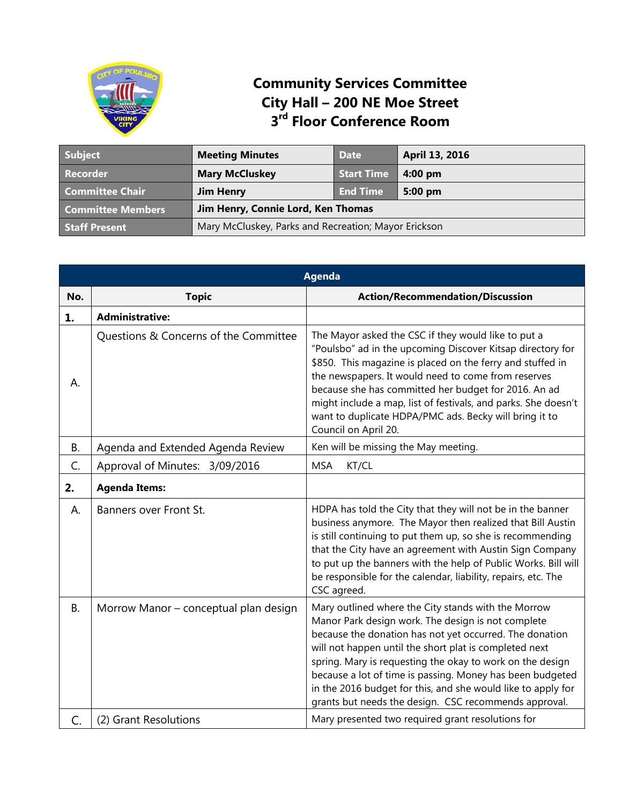

## **Community Services Committee City Hall – 200 NE Moe Street 3rd Floor Conference Room**

| <b>Subject</b>           | <b>Meeting Minutes</b>                               | l Date     | April 13, 2016    |
|--------------------------|------------------------------------------------------|------------|-------------------|
| Recorder                 | <b>Mary McCluskey</b>                                | Start Time | $4:00 \text{ pm}$ |
| <b>Committee Chair</b>   | <b>Jim Henry</b>                                     | End Time   | $5:00 \text{ pm}$ |
| <b>Committee Members</b> | Jim Henry, Connie Lord, Ken Thomas                   |            |                   |
| <b>Staff Present</b>     | Mary McCluskey, Parks and Recreation; Mayor Erickson |            |                   |

| <b>Agenda</b>  |                                       |                                                                                                                                                                                                                                                                                                                                                                                                                                                                                   |  |  |
|----------------|---------------------------------------|-----------------------------------------------------------------------------------------------------------------------------------------------------------------------------------------------------------------------------------------------------------------------------------------------------------------------------------------------------------------------------------------------------------------------------------------------------------------------------------|--|--|
| No.            | <b>Topic</b>                          | <b>Action/Recommendation/Discussion</b>                                                                                                                                                                                                                                                                                                                                                                                                                                           |  |  |
| 1.             | <b>Administrative:</b>                |                                                                                                                                                                                                                                                                                                                                                                                                                                                                                   |  |  |
| A.             | Questions & Concerns of the Committee | The Mayor asked the CSC if they would like to put a<br>"Poulsbo" ad in the upcoming Discover Kitsap directory for<br>\$850. This magazine is placed on the ferry and stuffed in<br>the newspapers. It would need to come from reserves<br>because she has committed her budget for 2016. An ad<br>might include a map, list of festivals, and parks. She doesn't<br>want to duplicate HDPA/PMC ads. Becky will bring it to<br>Council on April 20.                                |  |  |
| В.             | Agenda and Extended Agenda Review     | Ken will be missing the May meeting.                                                                                                                                                                                                                                                                                                                                                                                                                                              |  |  |
| C.             | Approval of Minutes: 3/09/2016        | <b>MSA</b><br>KT/CL                                                                                                                                                                                                                                                                                                                                                                                                                                                               |  |  |
| 2.             | <b>Agenda Items:</b>                  |                                                                                                                                                                                                                                                                                                                                                                                                                                                                                   |  |  |
| А.             | Banners over Front St.                | HDPA has told the City that they will not be in the banner<br>business anymore. The Mayor then realized that Bill Austin<br>is still continuing to put them up, so she is recommending<br>that the City have an agreement with Austin Sign Company<br>to put up the banners with the help of Public Works. Bill will<br>be responsible for the calendar, liability, repairs, etc. The<br>CSC agreed.                                                                              |  |  |
| <b>B.</b>      | Morrow Manor - conceptual plan design | Mary outlined where the City stands with the Morrow<br>Manor Park design work. The design is not complete<br>because the donation has not yet occurred. The donation<br>will not happen until the short plat is completed next<br>spring. Mary is requesting the okay to work on the design<br>because a lot of time is passing. Money has been budgeted<br>in the 2016 budget for this, and she would like to apply for<br>grants but needs the design. CSC recommends approval. |  |  |
| $\mathsf{C}$ . | (2) Grant Resolutions                 | Mary presented two required grant resolutions for                                                                                                                                                                                                                                                                                                                                                                                                                                 |  |  |